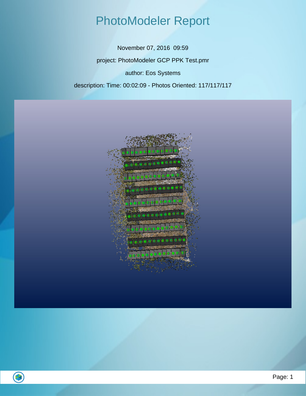#### PhotoModeler Report

November 07, 2016 09:59 project: PhotoModeler GCP PPK Test.pmr author: Eos Systems description: Time: 00:02:09 - Photos Oriented: 117/117/117

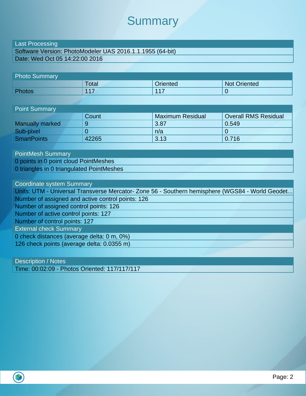#### **Summary**

#### Last Processing

Software Version: PhotoModeler UAS 2016.1.1.1955 (64-bit) Date: Wed Oct 05 14:22:00 2016

| <b>Photo Summary</b> |       |                 |                     |
|----------------------|-------|-----------------|---------------------|
|                      | Total | <b>Oriented</b> | <b>Not Oriented</b> |
| Photos               | 117   | 117             |                     |

| <b>Point Summary</b>   |       |                         |                             |  |  |
|------------------------|-------|-------------------------|-----------------------------|--|--|
|                        | Count | <b>Maximum Residual</b> | <b>Overall RMS Residual</b> |  |  |
| <b>Manually marked</b> | 9     | 3.87                    | 0.549                       |  |  |
| Sub-pixel              |       | n/a                     |                             |  |  |
| <b>SmartPoints</b>     | 42265 | 3.13                    | 0.716                       |  |  |

PointMesh Summary 0 points in 0 point cloud PointMeshes 0 triangles in 0 triangulated PointMeshes

Coordinate system Summary Units: UTM - Universal Transverse Mercator- Zone 56 - Southern hemisphere (WGS84 - World Geodet... Number of assigned and active control points: 126 Number of assigned control points: 126 Number of active control points: 127 Number of control points: 127 External check Summary 0 check distances (average delta: 0 m, 0%) 126 check points (average delta: 0.0355 m)

Description / Notes Time: 00:02:09 - Photos Oriented: 117/117/117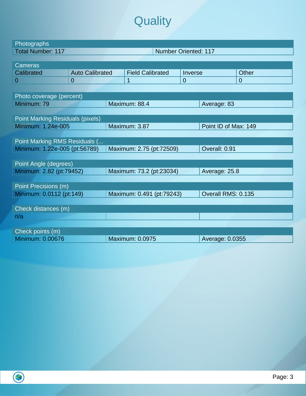## **Quality**

| Photographs                             |                        |  |                             |          |                      |                |
|-----------------------------------------|------------------------|--|-----------------------------|----------|----------------------|----------------|
| <b>Total Number: 117</b>                |                        |  | <b>Number Oriented: 117</b> |          |                      |                |
|                                         |                        |  |                             |          |                      |                |
| <b>Cameras</b>                          |                        |  |                             |          |                      |                |
| Calibrated                              | <b>Auto Calibrated</b> |  | <b>Field Calibrated</b>     | Inverse  |                      | Other          |
| $\overline{0}$                          | $\overline{0}$         |  | $\overline{1}$              | $\Omega$ |                      | $\overline{0}$ |
|                                         |                        |  |                             |          |                      |                |
| Photo coverage (percent)                |                        |  |                             |          |                      |                |
| Minimum: 79                             |                        |  | Maximum: 88.4               |          | Average: 83          |                |
|                                         |                        |  |                             |          |                      |                |
| <b>Point Marking Residuals (pixels)</b> |                        |  |                             |          |                      |                |
| Minimum: 1.24e-005                      |                        |  | Maximum: 3.87               |          | Point ID of Max: 149 |                |
|                                         |                        |  |                             |          |                      |                |
| Point Marking RMS Residuals (           |                        |  |                             |          |                      |                |
| Minimum: 1.22e-005 (pt:56789)           |                        |  | Maximum: 2.75 (pt:72509)    |          | Overall: 0.91        |                |
|                                         |                        |  |                             |          |                      |                |
| Point Angle (degrees)                   |                        |  |                             |          |                      |                |
| Minimum: 2.82 (pt:79452)                |                        |  | Maximum: 73.2 (pt:23034)    |          | Average: 25.8        |                |
|                                         |                        |  |                             |          |                      |                |
| Point Precisions (m)                    |                        |  |                             |          |                      |                |
| Minimum: 0.0112 (pt:149)                |                        |  | Maximum: 0.491 (pt:79243)   |          | Overall RMS: 0.135   |                |
|                                         |                        |  |                             |          |                      |                |
| Check distances (m)                     |                        |  |                             |          |                      |                |
| n/a                                     |                        |  |                             |          |                      |                |
|                                         |                        |  |                             |          |                      |                |
| Check points (m)                        |                        |  |                             |          |                      |                |
| <b>Minimum: 0.00676</b>                 |                        |  | <b>Maximum: 0.0975</b>      |          | Average: 0.0355      |                |
|                                         |                        |  |                             |          |                      |                |

 $\overline{\bigcirc}$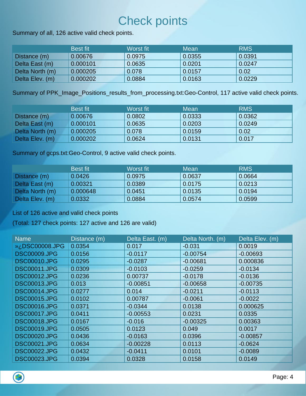#### Check points

Summary of all, 126 active valid check points.

|                 | /Best fit | Worst fit | Mean   | <b>RMS</b> |
|-----------------|-----------|-----------|--------|------------|
| Distance (m)    | 0.00676   | 0.0975    | 0.0355 | 0.0391     |
| Delta East (m)  | 0.000101  | 0.0635    | 0.0201 | 0.0247     |
| Delta North (m) | 0.000205  | 0.078     | 0.0157 | 0.02       |
| Delta Elev. (m) | 0.000202  | 0.0884    | 0.0163 | 0.0229     |

Summary of PPK\_Image\_Positions\_results\_from\_processing.txt:Geo-Control, 117 active valid check points.

|                 | <b>Best fit</b> | Worst fit | Mean   | <b>RMS</b> |
|-----------------|-----------------|-----------|--------|------------|
| Distance (m)    | 0.00676         | 0.0802    | 0.0333 | 0.0362     |
| Delta East (m)  | 0.000101        | 0.0635    | 0.0203 | 0.0249     |
| Delta North (m) | 0.000205        | 0.078     | 0.0159 | 0.02       |
| Delta Elev. (m) | 0.000202        | 0.0624    | 0.0131 | 0.017      |

Summary of gcps.txt:Geo-Control, 9 active valid check points.

|                 | <b>Best fit</b> | Worst fit | Mean   | <b>RMS</b> |
|-----------------|-----------------|-----------|--------|------------|
| Distance (m)    | 0.0426          | 0.0975    | 0.0637 | 0.0664     |
| Delta East (m)  | 0.00321         | 0.0389    | 0.0175 | 0.0213     |
| Delta North (m) | 0.000648        | 0.0451    | 0.0135 | 0.0194     |
| Delta Elev. (m) | 0.0332          | 0.0884    | 0.0574 | 0.0599     |

List of 126 active and valid check points

(Total: 127 check points: 127 active and 126 are valid)

| <b>Name</b>         | Distance (m) | Delta East. (m) | Delta North. (m) | Delta Elev. (m) |
|---------------------|--------------|-----------------|------------------|-----------------|
| i» ¿DSC00008.JPG    | 0.0354       | 0.017           | $-0.031$         | 0.0019          |
| <b>DSC00009.JPG</b> | 0.0156       | $-0.0117$       | $-0.00754$       | $-0.00693$      |
| <b>DSC00010.JPG</b> | 0.0295       | $-0.0287$       | $-0.00681$       | 0.000836        |
| <b>DSC00011.JPG</b> | 0.0309       | $-0.0103$       | $-0.0259$        | $-0.0134$       |
| <b>DSC00012.JPG</b> | 0.0236       | 0.00737         | $-0.0178$        | $-0.0136$       |
| <b>DSC00013.JPG</b> | 0.013        | $-0.00851$      | $-0.00658$       | $-0.00735$      |
| <b>DSC00014.JPG</b> | 0.0277       | 0.014           | $-0.0211$        | $-0.0113$       |
| <b>DSC00015.JPG</b> | 0.0102       | 0.00787         | $-0.0061$        | $-0.0022$       |
| <b>DSC00016.JPG</b> | 0.0371       | $-0.0344$       | 0.0138           | 0.000625        |
| <b>DSC00017.JPG</b> | 0.0411       | $-0.00553$      | 0.0231           | 0.0335          |
| <b>DSC00018.JPG</b> | 0.0167       | $-0.016$        | $-0.00325$       | 0.00363         |
| <b>DSC00019.JPG</b> | 0.0505       | 0.0123          | 0.049            | 0.0017          |
| <b>DSC00020.JPG</b> | 0.0436       | $-0.0163$       | 0.0396           | $-0.00857$      |
| <b>DSC00021.JPG</b> | 0.0634       | $-0.00228$      | 0.0113           | $-0.0624$       |
| <b>DSC00022.JPG</b> | 0.0432       | $-0.0411$       | 0.0101           | $-0.0089$       |
| <b>DSC00023.JPG</b> | 0.0394       | 0.0328          | 0.0158           | 0.0149          |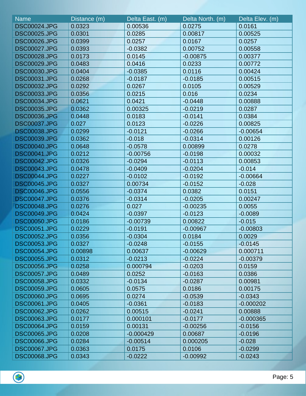| <b>Name</b>         | Distance (m) | Delta East. (m) | Delta North. (m) | Delta Elev. (m) |
|---------------------|--------------|-----------------|------------------|-----------------|
| <b>DSC00024.JPG</b> | 0.0323       | 0.00536         | 0.0275           | 0.0161          |
| <b>DSC00025.JPG</b> | 0.0301       | 0.0285          | 0.00817          | 0.00525         |
| <b>DSC00026.JPG</b> | 0.0399       | 0.0257          | 0.0167           | 0.0257          |
| <b>DSC00027.JPG</b> | 0.0393       | $-0.0382$       | 0.00752          | 0.00558         |
| <b>DSC00028.JPG</b> | 0.0173       | 0.0145          | $-0.00875$       | 0.00377         |
| <b>DSC00029.JPG</b> | 0.0483       | 0.0416          | 0.0233           | 0.00772         |
| <b>DSC00030.JPG</b> | 0.0404       | $-0.0385$       | 0.0116           | 0.00424         |
| <b>DSC00031.JPG</b> | 0.0268       | $-0.0187$       | $-0.0185$        | 0.00515         |
| <b>DSC00032.JPG</b> | 0.0292       | 0.0267          | 0.0105           | 0.00529         |
| <b>DSC00033.JPG</b> | 0.0356       | 0.0215          | 0.016            | 0.0234          |
| <b>DSC00034.JPG</b> | 0.0621       | 0.0421          | $-0.0448$        | 0.00888         |
| <b>DSC00035.JPG</b> | 0.0362       | 0.00325         | $-0.0219$        | 0.0287          |
| <b>DSC00036.JPG</b> | 0.0448       | 0.0183          | $-0.0141$        | 0.0384          |
| <b>DSC00037.JPG</b> | 0.027        | 0.0123          | $-0.0226$        | 0.00825         |
| <b>DSC00038.JPG</b> | 0.0299       | $-0.0121$       | $-0.0266$        | $-0.00654$      |
| <b>DSC00039.JPG</b> | 0.0362       | $-0.018$        | $-0.0314$        | 0.00126         |
| <b>DSC00040.JPG</b> | 0.0648       | $-0.0578$       | 0.00899          | 0.0278          |
| <b>DSC00041.JPG</b> | 0.0212       | $-0.00756$      | $-0.0198$        | 0.00032         |
| <b>DSC00042.JPG</b> | 0.0326       | $-0.0294$       | $-0.0113$        | 0.00853         |
| <b>DSC00043.JPG</b> | 0.0478       | $-0.0409$       | $-0.0204$        | $-0.014$        |
| <b>DSC00044.JPG</b> | 0.0227       | $-0.0102$       | $-0.0192$        | $-0.00664$      |
| <b>DSC00045.JPG</b> | 0.0327       | 0.00734         | $-0.0152$        | $-0.028$        |
| <b>DSC00046.JPG</b> | 0.0556       | $-0.0374$       | 0.0382           | 0.0151          |
| <b>DSC00047.JPG</b> | 0.0376       | $-0.0314$       | $-0.0205$        | 0.00247         |
| <b>DSC00048.JPG</b> | 0.0276       | 0.027           | $-0.00235$       | 0.0055          |
| <b>DSC00049.JPG</b> | 0.0424       | $-0.0397$       | $-0.0123$        | $-0.0089$       |
| <b>DSC00050.JPG</b> | 0.0186       | $-0.00739$      | 0.00822          | $-0.015$        |
| <b>DSC00051.JPG</b> | 0.0229       | $-0.0191$       | $-0.00967$       | $-0.00803$      |
| <b>DSC00052.JPG</b> | 0.0356       | $-0.0304$       | 0.0184           | 0.0029          |
| <b>DSC00053.JPG</b> | 0.0327       | $-0.0248$       | $-0.0155$        | $-0.0145$       |
| <b>DSC00054.JPG</b> | 0.00898      | 0.00637         | $-0.00629$       | 0.000711        |
| <b>DSC00055.JPG</b> | 0.0312       | $-0.0213$       | $-0.0224$        | $-0.00379$      |
| <b>DSC00056.JPG</b> | 0.0258       | 0.000794        | $-0.0203$        | 0.0159          |
| <b>DSC00057.JPG</b> | 0.0489       | 0.0252          | $-0.0163$        | 0.0386          |
| <b>DSC00058.JPG</b> | 0.0332       | $-0.0134$       | $-0.0287$        | 0.00981         |
| <b>DSC00059.JPG</b> | 0.0605       | 0.0575          | 0.0186           | 0.00175         |
| <b>DSC00060.JPG</b> | 0.0695       | 0.0274          | $-0.0539$        | $-0.0343$       |
| <b>DSC00061.JPG</b> | 0.0405       | $-0.0361$       | $-0.0183$        | $-0.000202$     |
| <b>DSC00062.JPG</b> | 0.0262       | 0.00515         | $-0.0241$        | 0.00888         |
| <b>DSC00063.JPG</b> | 0.0177       | 0.000101        | $-0.0177$        | $-0.000365$     |
| <b>DSC00064.JPG</b> | 0.0159       | 0.00131         | $-0.00256$       | $-0.0156$       |
| <b>DSC00065.JPG</b> | 0.0208       | $-0.000429$     | 0.00687          | $-0.0196$       |
| <b>DSC00066.JPG</b> | 0.0284       | $-0.00514$      | 0.000205         | $-0.028$        |
| <b>DSC00067.JPG</b> | 0.0363       | 0.0175          | 0.0106           | $-0.0299$       |
| <b>DSC00068.JPG</b> | 0.0343       | $-0.0222$       | $-0.00992$       | $-0.0243$       |

 $\bigcirc$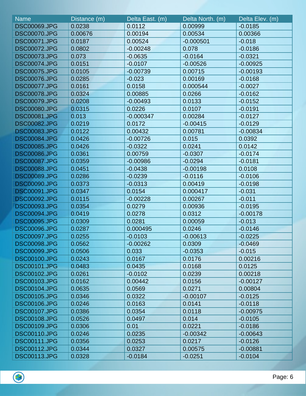| <b>Name</b>         | Distance (m) | Delta East. (m) | Delta North. (m) | Delta Elev. (m) |
|---------------------|--------------|-----------------|------------------|-----------------|
| <b>DSC00069.JPG</b> | 0.0238       | 0.0112          | 0.00999          | $-0.0185$       |
| <b>DSC00070.JPG</b> | 0.00676      | 0.00194         | 0.00534          | 0.00366         |
| <b>DSC00071.JPG</b> | 0.0187       | 0.00524         | $-0.000501$      | $-0.018$        |
| <b>DSC00072.JPG</b> | 0.0802       | $-0.00248$      | 0.078            | $-0.0186$       |
| <b>DSC00073.JPG</b> | 0.073        | $-0.0635$       | $-0.0164$        | $-0.0321$       |
| <b>DSC00074.JPG</b> | 0.0151       | $-0.0107$       | $-0.00526$       | $-0.00925$      |
| <b>DSC00075.JPG</b> | 0.0105       | $-0.00739$      | 0.00715          | $-0.00193$      |
| <b>DSC00076.JPG</b> | 0.0285       | $-0.023$        | 0.00169          | $-0.0168$       |
| <b>DSC00077.JPG</b> | 0.0161       | 0.0158          | 0.000544         | $-0.0027$       |
| <b>DSC00078.JPG</b> | 0.0324       | 0.00885         | 0.0266           | $-0.0162$       |
| <b>DSC00079.JPG</b> | 0.0208       | $-0.00493$      | 0.0133           | $-0.0152$       |
| <b>DSC00080.JPG</b> | 0.0315       | 0.0226          | 0.0107           | $-0.0191$       |
| <b>DSC00081.JPG</b> | 0.013        | $-0.000347$     | 0.00284          | $-0.0127$       |
| <b>DSC00082.JPG</b> | 0.0219       | 0.0172          | $-0.00415$       | $-0.0129$       |
| <b>DSC00083.JPG</b> | 0.0122       | 0.00432         | 0.00781          | $-0.00834$      |
| <b>DSC00084.JPG</b> | 0.0426       | $-0.00726$      | 0.015            | 0.0392          |
| <b>DSC00085.JPG</b> | 0.0426       | $-0.0322$       | 0.0241           | 0.0142          |
| <b>DSC00086.JPG</b> | 0.0361       | 0.00759         | $-0.0307$        | $-0.0174$       |
| <b>DSC00087.JPG</b> | 0.0359       | $-0.00986$      | $-0.0294$        | $-0.0181$       |
| <b>DSC00088.JPG</b> | 0.0451       | $-0.0438$       | $-0.00198$       | 0.0108          |
| <b>DSC00089.JPG</b> | 0.0286       | $-0.0239$       | $-0.0116$        | $-0.0106$       |
| <b>DSC00090.JPG</b> | 0.0373       | $-0.0313$       | 0.00419          | $-0.0198$       |
| <b>DSC00091.JPG</b> | 0.0347       | 0.0154          | 0.000417         | $-0.031$        |
| <b>DSC00092.JPG</b> | 0.0115       | $-0.00228$      | 0.00267          | $-0.011$        |
| <b>DSC00093.JPG</b> | 0.0354       | 0.0279          | 0.00936          | $-0.0195$       |
| <b>DSC00094.JPG</b> | 0.0419       | 0.0278          | 0.0312           | $-0.00178$      |
| <b>DSC00095.JPG</b> | 0.0309       | 0.0281          | 0.00059          | $-0.013$        |
| <b>DSC00096.JPG</b> | 0.0287       | 0.000495        | 0.0246           | $-0.0146$       |
| <b>DSC00097.JPG</b> | 0.0255       | $-0.0103$       | $-0.00613$       | $-0.0225$       |
| <b>DSC00098.JPG</b> | 0.0562       | $-0.00262$      | 0.0309           | $-0.0469$       |
| <b>DSC00099.JPG</b> | 0.0506       | 0.033           | $-0.0353$        | $-0.015$        |
| <b>DSC00100.JPG</b> | 0.0243       | 0.0167          | 0.0176           | 0.00216         |
| <b>DSC00101.JPG</b> | 0.0483       | 0.0435          | 0.0168           | 0.0125          |
| <b>DSC00102.JPG</b> | 0.0261       | $-0.0102$       | 0.0239           | 0.00218         |
| <b>DSC00103.JPG</b> | 0.0162       | 0.00442         | 0.0156           | $-0.00127$      |
| <b>DSC00104.JPG</b> | 0.0635       | 0.0569          | 0.0271           | 0.00804         |
| <b>DSC00105.JPG</b> | 0.0346       | 0.0322          | $-0.00107$       | $-0.0125$       |
| <b>DSC00106.JPG</b> | 0.0246       | 0.0163          | 0.0141           | $-0.0118$       |
| <b>DSC00107.JPG</b> | 0.0386       | 0.0354          | 0.0118           | $-0.00975$      |
| <b>DSC00108.JPG</b> | 0.0526       | 0.0497          | 0.014            | $-0.0105$       |
| <b>DSC00109.JPG</b> | 0.0306       | 0.01            | 0.0221           | $-0.0186$       |
| <b>DSC00110.JPG</b> | 0.0246       | 0.0235          | $-0.00342$       | $-0.00643$      |
| <b>DSC00111.JPG</b> | 0.0356       | 0.0253          | 0.0217           | $-0.0126$       |
| <b>DSC00112.JPG</b> | 0.0344       | 0.0327          | 0.00575          | $-0.00881$      |
| <b>DSC00113.JPG</b> | 0.0328       | $-0.0184$       | $-0.0251$        | $-0.0104$       |

 $\bigcirc$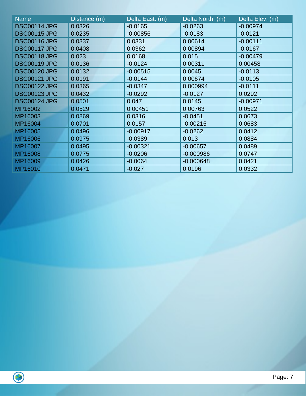| <b>Name</b>         | Distance (m) | Delta East. (m) | Delta North. (m) | Delta Elev. (m) |
|---------------------|--------------|-----------------|------------------|-----------------|
| <b>DSC00114.JPG</b> | 0.0326       | $-0.0165$       | $-0.0263$        | $-0.00974$      |
| <b>DSC00115.JPG</b> | 0.0235       | $-0.00856$      | $-0.0183$        | $-0.0121$       |
| <b>DSC00116.JPG</b> | 0.0337       | 0.0331          | 0.00614          | $-0.00111$      |
| <b>DSC00117.JPG</b> | 0.0408       | 0.0362          | 0.00894          | $-0.0167$       |
| <b>DSC00118.JPG</b> | 0.023        | 0.0168          | 0.015            | $-0.00479$      |
| <b>DSC00119.JPG</b> | 0.0136       | $-0.0124$       | 0.00311          | 0.00458         |
| <b>DSC00120.JPG</b> | 0.0132       | $-0.00515$      | 0.0045           | $-0.0113$       |
| <b>DSC00121.JPG</b> | 0.0191       | $-0.0144$       | 0.00674          | $-0.0105$       |
| <b>DSC00122.JPG</b> | 0.0365       | $-0.0347$       | 0.000994         | $-0.0111$       |
| <b>DSC00123.JPG</b> | 0.0432       | $-0.0292$       | $-0.0127$        | 0.0292          |
| <b>DSC00124.JPG</b> | 0.0501       | 0.047           | 0.0145           | $-0.00971$      |
| MP16002             | 0.0529       | 0.00451         | 0.00763          | 0.0522          |
| MP16003             | 0.0869       | 0.0316          | $-0.0451$        | 0.0673          |
| MP16004             | 0.0701       | 0.0157          | $-0.00215$       | 0.0683          |
| MP16005             | 0.0496       | $-0.00917$      | $-0.0262$        | 0.0412          |
| MP16006             | 0.0975       | $-0.0389$       | 0.013            | 0.0884          |
| MP16007             | 0.0495       | $-0.00321$      | $-0.00657$       | 0.0489          |
| MP16008             | 0.0775       | $-0.0206$       | $-0.000986$      | 0.0747          |
| MP16009             | 0.0426       | $-0.0064$       | $-0.000648$      | 0.0421          |
| MP16010             | 0.0471       | $-0.027$        | 0.0196           | 0.0332          |

 $\bigcirc$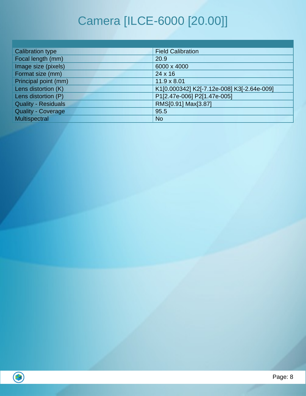# Camera [ILCE-6000 [20.00]]

| <b>Calibration type</b>    | <b>Field Calibration</b>                   |
|----------------------------|--------------------------------------------|
| Focal length (mm)          | 20.9                                       |
| Image size (pixels)        | 6000 x 4000                                |
| Format size (mm)           | $24 \times 16$                             |
| Principal point (mm)       | $11.9 \times 8.01$                         |
| Lens distortion (K)        | K1[0.000342] K2[-7.12e-008] K3[-2.64e-009] |
| Lens distortion (P)        | P1[2.47e-006] P2[1.47e-005]                |
| <b>Quality - Residuals</b> | RMS[0.91] Max[3.87]                        |
| <b>Quality - Coverage</b>  | 95.5                                       |
| Multispectral              | <b>No</b>                                  |

 $\overline{\bigcirc}$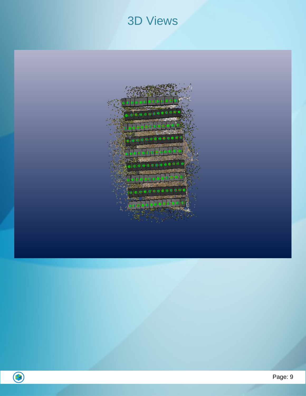#### 3D Views



B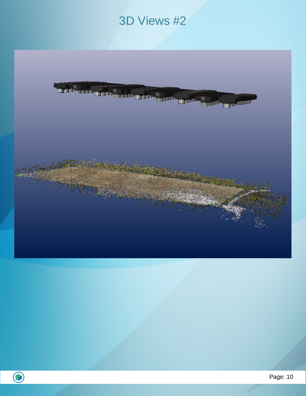### 3D Views #2



 $\bigodot$